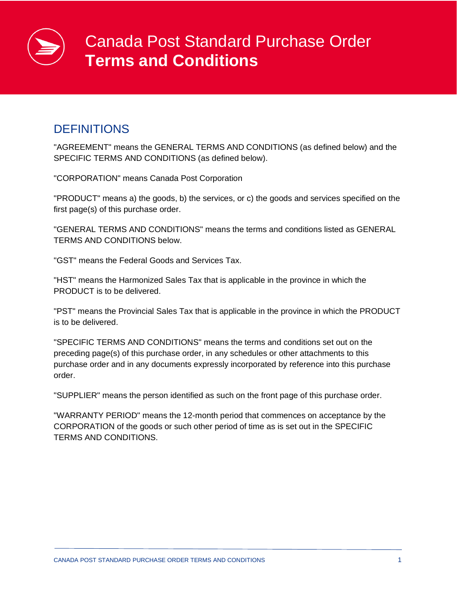# Canada Post Standard Purchase Order **Terms and Conditions**

## **DEFINITIONS**

"AGREEMENT" means the GENERAL TERMS AND CONDITIONS (as defined below) and the SPECIFIC TERMS AND CONDITIONS (as defined below).

"CORPORATION" means Canada Post Corporation

"PRODUCT" means a) the goods, b) the services, or c) the goods and services specified on the first page(s) of this purchase order.

"GENERAL TERMS AND CONDITIONS" means the terms and conditions listed as GENERAL TERMS AND CONDITIONS below.

"GST" means the Federal Goods and Services Tax.

"HST" means the Harmonized Sales Tax that is applicable in the province in which the PRODUCT is to be delivered.

"PST" means the Provincial Sales Tax that is applicable in the province in which the PRODUCT is to be delivered.

"SPECIFIC TERMS AND CONDITIONS" means the terms and conditions set out on the preceding page(s) of this purchase order, in any schedules or other attachments to this purchase order and in any documents expressly incorporated by reference into this purchase order.

"SUPPLIER" means the person identified as such on the front page of this purchase order.

"WARRANTY PERIOD" means the 12-month period that commences on acceptance by the CORPORATION of the goods or such other period of time as is set out in the SPECIFIC TERMS AND CONDITIONS.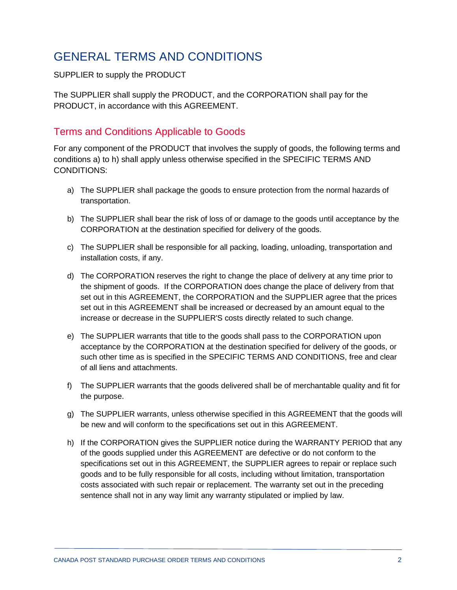# GENERAL TERMS AND CONDITIONS

#### SUPPLIER to supply the PRODUCT

The SUPPLIER shall supply the PRODUCT, and the CORPORATION shall pay for the PRODUCT, in accordance with this AGREEMENT.

### Terms and Conditions Applicable to Goods

For any component of the PRODUCT that involves the supply of goods, the following terms and conditions a) to h) shall apply unless otherwise specified in the SPECIFIC TERMS AND CONDITIONS:

- a) The SUPPLIER shall package the goods to ensure protection from the normal hazards of transportation.
- b) The SUPPLIER shall bear the risk of loss of or damage to the goods until acceptance by the CORPORATION at the destination specified for delivery of the goods.
- c) The SUPPLIER shall be responsible for all packing, loading, unloading, transportation and installation costs, if any.
- d) The CORPORATION reserves the right to change the place of delivery at any time prior to the shipment of goods. If the CORPORATION does change the place of delivery from that set out in this AGREEMENT, the CORPORATION and the SUPPLIER agree that the prices set out in this AGREEMENT shall be increased or decreased by an amount equal to the increase or decrease in the SUPPLIER'S costs directly related to such change.
- e) The SUPPLIER warrants that title to the goods shall pass to the CORPORATION upon acceptance by the CORPORATION at the destination specified for delivery of the goods, or such other time as is specified in the SPECIFIC TERMS AND CONDITIONS, free and clear of all liens and attachments.
- f) The SUPPLIER warrants that the goods delivered shall be of merchantable quality and fit for the purpose.
- g) The SUPPLIER warrants, unless otherwise specified in this AGREEMENT that the goods will be new and will conform to the specifications set out in this AGREEMENT.
- h) If the CORPORATION gives the SUPPLIER notice during the WARRANTY PERIOD that any of the goods supplied under this AGREEMENT are defective or do not conform to the specifications set out in this AGREEMENT, the SUPPLIER agrees to repair or replace such goods and to be fully responsible for all costs, including without limitation, transportation costs associated with such repair or replacement. The warranty set out in the preceding sentence shall not in any way limit any warranty stipulated or implied by law.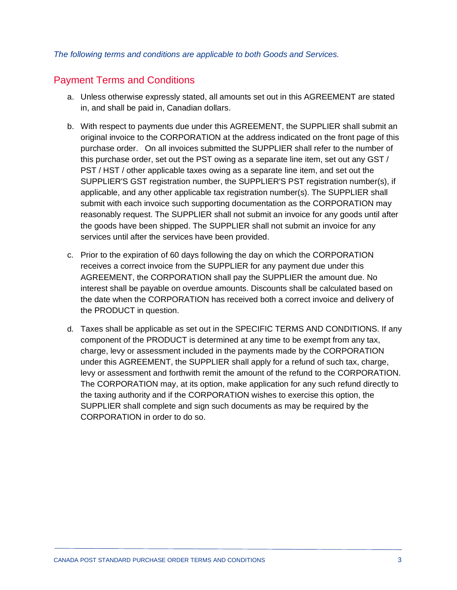#### *The following terms and conditions are applicable to both Goods and Services.*

#### Payment Terms and Conditions

- a. Unless otherwise expressly stated, all amounts set out in this AGREEMENT are stated in, and shall be paid in, Canadian dollars.
- b. With respect to payments due under this AGREEMENT, the SUPPLIER shall submit an original invoice to the CORPORATION at the address indicated on the front page of this purchase order. On all invoices submitted the SUPPLIER shall refer to the number of this purchase order, set out the PST owing as a separate line item, set out any GST / PST / HST / other applicable taxes owing as a separate line item, and set out the SUPPLIER'S GST registration number, the SUPPLIER'S PST registration number(s), if applicable, and any other applicable tax registration number(s). The SUPPLIER shall submit with each invoice such supporting documentation as the CORPORATION may reasonably request. The SUPPLIER shall not submit an invoice for any goods until after the goods have been shipped. The SUPPLIER shall not submit an invoice for any services until after the services have been provided.
- c. Prior to the expiration of 60 days following the day on which the CORPORATION receives a correct invoice from the SUPPLIER for any payment due under this AGREEMENT, the CORPORATION shall pay the SUPPLIER the amount due. No interest shall be payable on overdue amounts. Discounts shall be calculated based on the date when the CORPORATION has received both a correct invoice and delivery of the PRODUCT in question.
- d. Taxes shall be applicable as set out in the SPECIFIC TERMS AND CONDITIONS. If any component of the PRODUCT is determined at any time to be exempt from any tax, charge, levy or assessment included in the payments made by the CORPORATION under this AGREEMENT, the SUPPLIER shall apply for a refund of such tax, charge, levy or assessment and forthwith remit the amount of the refund to the CORPORATION. The CORPORATION may, at its option, make application for any such refund directly to the taxing authority and if the CORPORATION wishes to exercise this option, the SUPPLIER shall complete and sign such documents as may be required by the CORPORATION in order to do so.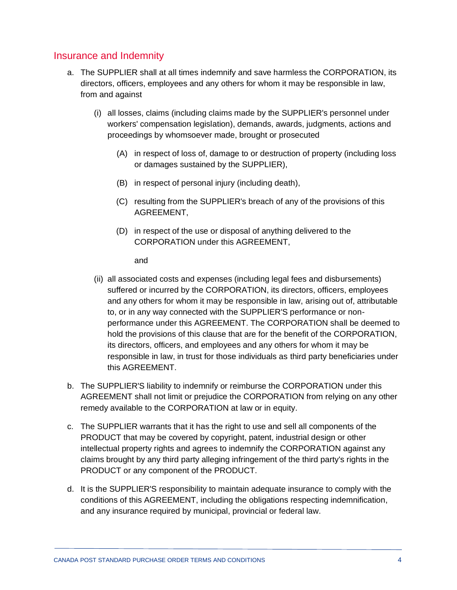#### Insurance and Indemnity

- a. The SUPPLIER shall at all times indemnify and save harmless the CORPORATION, its directors, officers, employees and any others for whom it may be responsible in law, from and against
	- (i) all losses, claims (including claims made by the SUPPLIER's personnel under workers' compensation legislation), demands, awards, judgments, actions and proceedings by whomsoever made, brought or prosecuted
		- (A) in respect of loss of, damage to or destruction of property (including loss or damages sustained by the SUPPLIER),
		- (B) in respect of personal injury (including death),
		- (C) resulting from the SUPPLIER's breach of any of the provisions of this AGREEMENT,
		- (D) in respect of the use or disposal of anything delivered to the CORPORATION under this AGREEMENT,

and

- (ii) all associated costs and expenses (including legal fees and disbursements) suffered or incurred by the CORPORATION, its directors, officers, employees and any others for whom it may be responsible in law, arising out of, attributable to, or in any way connected with the SUPPLIER'S performance or nonperformance under this AGREEMENT. The CORPORATION shall be deemed to hold the provisions of this clause that are for the benefit of the CORPORATION, its directors, officers, and employees and any others for whom it may be responsible in law, in trust for those individuals as third party beneficiaries under this AGREEMENT.
- b. The SUPPLIER'S liability to indemnify or reimburse the CORPORATION under this AGREEMENT shall not limit or prejudice the CORPORATION from relying on any other remedy available to the CORPORATION at law or in equity.
- c. The SUPPLIER warrants that it has the right to use and sell all components of the PRODUCT that may be covered by copyright, patent, industrial design or other intellectual property rights and agrees to indemnify the CORPORATION against any claims brought by any third party alleging infringement of the third party's rights in the PRODUCT or any component of the PRODUCT.
- d. It is the SUPPLIER'S responsibility to maintain adequate insurance to comply with the conditions of this AGREEMENT, including the obligations respecting indemnification, and any insurance required by municipal, provincial or federal law.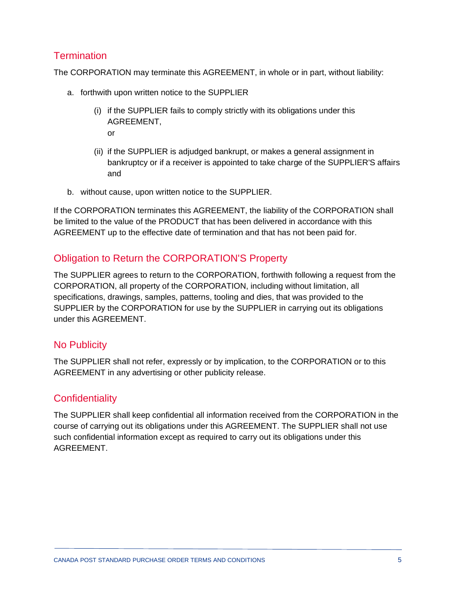### **Termination**

The CORPORATION may terminate this AGREEMENT, in whole or in part, without liability:

- a. forthwith upon written notice to the SUPPLIER
	- (i) if the SUPPLIER fails to comply strictly with its obligations under this AGREEMENT, or
	- (ii) if the SUPPLIER is adjudged bankrupt, or makes a general assignment in bankruptcy or if a receiver is appointed to take charge of the SUPPLIER'S affairs and
- b. without cause, upon written notice to the SUPPLIER.

If the CORPORATION terminates this AGREEMENT, the liability of the CORPORATION shall be limited to the value of the PRODUCT that has been delivered in accordance with this AGREEMENT up to the effective date of termination and that has not been paid for.

## Obligation to Return the CORPORATION'S Property

The SUPPLIER agrees to return to the CORPORATION, forthwith following a request from the CORPORATION, all property of the CORPORATION, including without limitation, all specifications, drawings, samples, patterns, tooling and dies, that was provided to the SUPPLIER by the CORPORATION for use by the SUPPLIER in carrying out its obligations under this AGREEMENT.

#### No Publicity

The SUPPLIER shall not refer, expressly or by implication, to the CORPORATION or to this AGREEMENT in any advertising or other publicity release.

#### **Confidentiality**

The SUPPLIER shall keep confidential all information received from the CORPORATION in the course of carrying out its obligations under this AGREEMENT. The SUPPLIER shall not use such confidential information except as required to carry out its obligations under this **AGREEMENT**